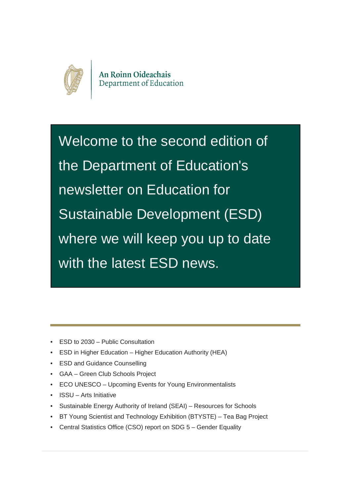

Welcome to the second edition of the Department of Education's newsletter on Education for Sustainable Development (ESD) where we will keep you up to date with the latest ESD news.

- **ESD to 2030 Public Consultation**
- ESD in Higher Education Higher Education Authority (HEA)
- ESD and Guidance Counselling
- GAA Green Club Schools Project
- ECO UNESCO Upcoming Events for Young Environmentalists
- ISSU Arts Initiative
- Sustainable Energy Authority of IreIand (SEAI) Resources for Schools
- BT Young Scientist and Technology Exhibition (BTYSTE) Tea Bag Project
- Central Statistics Office (CSO) report on SDG 5 Gender Equality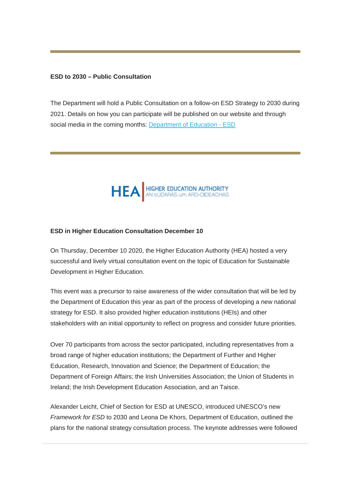#### **ESD to 2030 – Public Consultation**

The Department will hold a Public Consultation on a follow-on ESD Strategy to 2030 during 2021. Details on how you can participate will be published on our website and through social media in the coming months: [Department of Education - ESD](https://education.us2.list-manage.com/track/click?u=18ce7e31f6d7295a5019ca349&id=3939b7d2df&e=257656c78e)



#### **ESD in Higher Education Consultation December 10**

On Thursday, December 10 2020, the Higher Education Authority (HEA) hosted a very successful and lively virtual consultation event on the topic of Education for Sustainable Development in Higher Education.

This event was a precursor to raise awareness of the wider consultation that will be led by the Department of Education this year as part of the process of developing a new national strategy for ESD. It also provided higher education institutions (HEIs) and other stakeholders with an initial opportunity to reflect on progress and consider future priorities.

Over 70 participants from across the sector participated, including representatives from a broad range of higher education institutions; the Department of Further and Higher Education, Research, Innovation and Science; the Department of Education; the Department of Foreign Affairs; the Irish Universities Association; the Union of Students in Ireland; the Irish Development Education Association, and an Taisce.

Alexander Leicht, Chief of Section for ESD at UNESCO, introduced UNESCO's new *Framework for ESD* to 2030 and Leona De Khors, Department of Education, outlined the plans for the national strategy consultation process. The keynote addresses were followed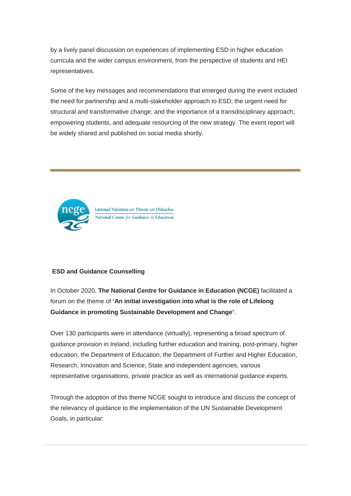by a lively panel discussion on experiences of implementing ESD in higher education curricula and the wider campus environment, from the perspective of students and HEI representatives.

Some of the key messages and recommendations that emerged during the event included the need for partnership and a multi-stakeholder approach to ESD; the urgent need for structural and transformative change; and the importance of a transdisciplinary approach, empowering students, and adequate resourcing of the new strategy. The event report will be widely shared and published on social media shortly.



Lárionad Náisiúnta um Threoir san Oideachas National Centre for Guidance in Education

#### **ESD and Guidance Counselling**

In October 2020, **The National Centre for Guidance in Education (NCGE)** facilitated a forum on the theme of **'An initial investigation into what is the role of Lifelong Guidance in promoting Sustainable Development and Change'**.

Over 130 participants were in attendance (virtually), representing a broad spectrum of guidance provision in Ireland, including further education and training, post-primary, higher education, the Department of Education, the Department of Further and Higher Education, Research, Innovation and Science, State and independent agencies, various representative organisations, private practice as well as international guidance experts.

Through the adoption of this theme NCGE sought to introduce and discuss the concept of the relevancy of guidance to the implementation of the UN Sustainable Development Goals, in particular: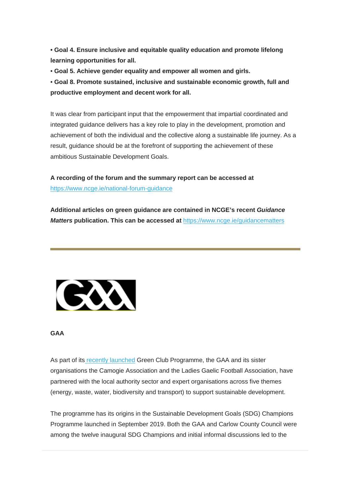**• Goal 4. Ensure inclusive and equitable quality education and promote lifelong learning opportunities for all.**

• **Goal 5. Achieve gender equality and empower all women and girls.**

• **Goal 8. Promote sustained, inclusive and sustainable economic growth, full and productive employment and decent work for all.**

It was clear from participant input that the empowerment that impartial coordinated and integrated guidance delivers has a key role to play in the development, promotion and achievement of both the individual and the collective along a sustainable life journey. As a result, guidance should be at the forefront of supporting the achievement of these ambitious Sustainable Development Goals.

**A recording of the forum and the summary report can be accessed at**  [https://www.ncge.ie/national-forum-guidance](https://education.us2.list-manage.com/track/click?u=18ce7e31f6d7295a5019ca349&id=8417531736&e=257656c78e)

**Additional articles on green guidance are contained in NCGE's recent** *Guidance Matters* **publication. This can be accessed at** [https://www.ncge.ie/guidancematters](https://education.us2.list-manage.com/track/click?u=18ce7e31f6d7295a5019ca349&id=a09f511ecb&e=257656c78e)



#### **GAA**

As part of it[s recently launched](https://education.us2.list-manage.com/track/click?u=18ce7e31f6d7295a5019ca349&id=5218d00368&e=257656c78e) Green Club Programme, the GAA and its sister organisations the Camogie Association and the Ladies Gaelic Football Association, have partnered with the local authority sector and expert organisations across five themes (energy, waste, water, biodiversity and transport) to support sustainable development.

The programme has its origins in the Sustainable Development Goals (SDG) Champions Programme launched in September 2019. Both the GAA and Carlow County Council were among the twelve inaugural SDG Champions and initial informal discussions led to the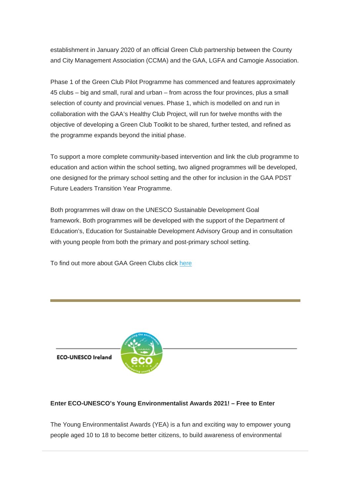establishment in January 2020 of an official Green Club partnership between the County and City Management Association (CCMA) and the GAA, LGFA and Camogie Association.

Phase 1 of the Green Club Pilot Programme has commenced and features approximately 45 clubs – big and small, rural and urban – from across the four provinces, plus a small selection of county and provincial venues. Phase 1, which is modelled on and run in collaboration with the GAA's Healthy Club Project, will run for twelve months with the objective of developing a Green Club Toolkit to be shared, further tested, and refined as the programme expands beyond the initial phase.

To support a more complete community-based intervention and link the club programme to education and action within the school setting, two aligned programmes will be developed, one designed for the primary school setting and the other for inclusion in the GAA PDST Future Leaders Transition Year Programme.

Both programmes will draw on the UNESCO Sustainable Development Goal framework. Both programmes will be developed with the support of the Department of Education's, Education for Sustainable Development Advisory Group and in consultation with young people from both the primary and post-primary school setting.

To find out more about GAA Green Clubs click [here](https://education.us2.list-manage.com/track/click?u=18ce7e31f6d7295a5019ca349&id=72f1a98a69&e=257656c78e)





## **Enter ECO-UNESCO's Young Environmentalist Awards 2021! – Free to Enter**

The Young Environmentalist Awards (YEA) is a fun and exciting way to empower young people aged 10 to 18 to become better citizens, to build awareness of environmental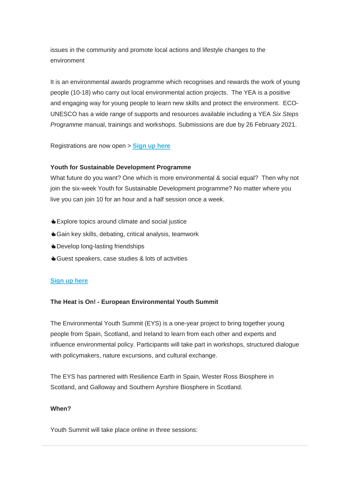issues in the community and promote local actions and lifestyle changes to the environment

It is an environmental awards programme which recognises and rewards the work of young people (10-18) who carry out local environmental action projects. The YEA is a positive and engaging way for young people to learn new skills and protect the environment. ECO-UNESCO has a wide range of supports and resources available including a YEA *Six Steps Programme* manual, trainings and workshops. Submissions are due by 26 February 2021.

Registrations are now open > **[Sign up here](https://education.us2.list-manage.com/track/click?u=18ce7e31f6d7295a5019ca349&id=6e9461d617&e=257656c78e)**

#### **Youth for Sustainable Development Programme**

What future do you want? One which is more environmental & social equal? Then why not join the six-week Youth for Sustainable Development programme? No matter where you live you can join 10 for an hour and a half session once a week.

- Explore topics around climate and social justice
- **Sain key skills, debating, critical analysis, teamwork**
- **b** Develop long-lasting friendships
- Guest speakers, case studies & lots of activities

### **[Sign up here](https://education.us2.list-manage.com/track/click?u=18ce7e31f6d7295a5019ca349&id=8b5fa5144b&e=257656c78e)**

#### **The Heat is On! - European Environmental Youth Summit**

The Environmental Youth Summit (EYS) is a one-year project to bring together young people from Spain, Scotland, and Ireland to learn from each other and experts and influence environmental policy. Participants will take part in workshops, structured dialogue with policymakers, nature excursions, and cultural exchange.

The EYS has partnered with Resilience Earth in Spain, Wester Ross Biosphere in Scotland, and Galloway and Southern Ayrshire Biosphere in Scotland.

#### **When?**

Youth Summit will take place online in three sessions: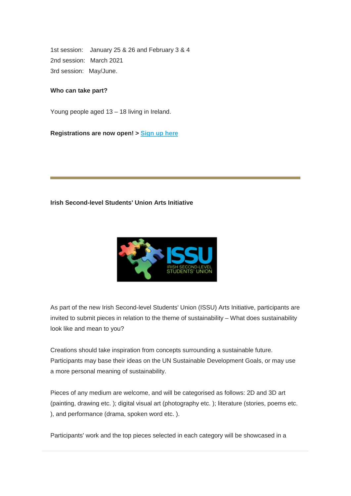1st session: January 25 & 26 and February 3 & 4 2nd session: March 2021 3rd session: May/June.

#### **Who can take part?**

Young people aged 13 – 18 living in Ireland.

**Registrations are now open! > [Sign up here](https://education.us2.list-manage.com/track/click?u=18ce7e31f6d7295a5019ca349&id=c382a9b930&e=257656c78e)**

#### **Irish Second-level Students' Union Arts Initiative**



As part of the new Irish Second-level Students' Union (ISSU) Arts Initiative, participants are invited to submit pieces in relation to the theme of sustainability – What does sustainability look like and mean to you?

Creations should take inspiration from concepts surrounding a sustainable future. Participants may base their ideas on the UN Sustainable Development Goals, or may use a more personal meaning of sustainability.

Pieces of any medium are welcome, and will be categorised as follows: 2D and 3D art (painting, drawing etc. ); digital visual art (photography etc. ); literature (stories, poems etc. ), and performance (drama, spoken word etc. ).

Participants' work and the top pieces selected in each category will be showcased in a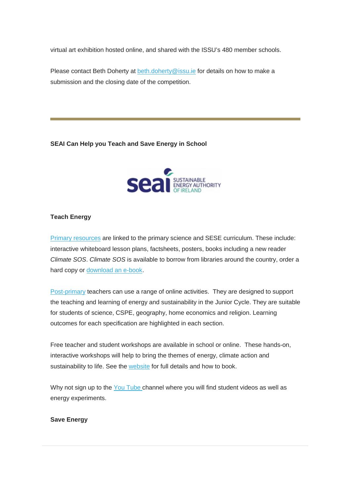virtual art exhibition hosted online, and shared with the ISSU's 480 member schools.

Please contact Beth Doherty at [beth.doherty@issu.ie](mailto:beth.doherty@issu.ie) for details on how to make a submission and the closing date of the competition.

**SEAI Can Help you Teach and Save Energy in School**



## **Teach Energy**

[Primary resources](https://education.us2.list-manage.com/track/click?u=18ce7e31f6d7295a5019ca349&id=9d852ae7ce&e=257656c78e) are linked to the primary science and SESE curriculum. These include: interactive whiteboard lesson plans, factsheets, posters, books including a new reader *Climate SOS*. *Climate SOS* is available to borrow from libraries around the country, order a hard copy or [download an e-book.](https://education.us2.list-manage.com/track/click?u=18ce7e31f6d7295a5019ca349&id=f4ca6f7f3c&e=257656c78e)

[Post-primary](https://education.us2.list-manage.com/track/click?u=18ce7e31f6d7295a5019ca349&id=c39bfde058&e=257656c78e) teachers can use a range of online activities. They are designed to support the teaching and learning of energy and sustainability in the Junior Cycle. They are suitable for students of science, CSPE, geography, home economics and religion. Learning outcomes for each specification are highlighted in each section.

Free teacher and student workshops are available in school or online. These hands-on, interactive workshops will help to bring the themes of energy, climate action and sustainability to life. See the [website](https://education.us2.list-manage.com/track/click?u=18ce7e31f6d7295a5019ca349&id=0c5d2c176d&e=257656c78e) for full details and how to book.

Why not sign up to the [You Tube c](https://education.us2.list-manage.com/track/click?u=18ce7e31f6d7295a5019ca349&id=98b4d6e2f5&e=257656c78e)hannel where you will find student videos as well as energy experiments.

**Save Energy**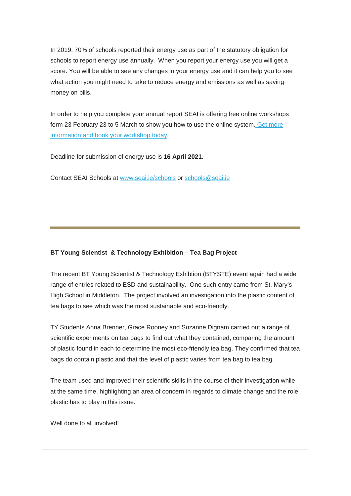In 2019, 70% of schools reported their energy use as part of the statutory obligation for schools to report energy use annually. When you report your energy use you will get a score. You will be able to see any changes in your energy use and it can help you to see what action you might need to take to reduce energy and emissions as well as saving money on bills.

In order to help you complete your annual report SEAI is offering free online workshops form 23 February 23 to 5 March to show you how to use the online system. Get more [information and book your workshop today.](https://education.us2.list-manage.com/track/click?u=18ce7e31f6d7295a5019ca349&id=451f54f66b&e=257656c78e)

Deadline for submission of energy use is **16 April 2021.**

Contact SEAI Schools at [www.seai.ie/schools](https://education.us2.list-manage.com/track/click?u=18ce7e31f6d7295a5019ca349&id=4ed10a3460&e=257656c78e) or [schools@seai.ie](mailto:schools@seai.ie)

## **BT Young Scientist & Technology Exhibition – Tea Bag Project**

The recent BT Young Scientist & Technology Exhibtion (BTYSTE) event again had a wide range of entries related to ESD and sustainability. One such entry came from St. Mary's High School in Middleton. The project involved an investigation into the plastic content of tea bags to see which was the most sustainable and eco-friendly.

TY Students Anna Brenner, Grace Rooney and Suzanne Dignam carried out a range of scientific experiments on tea bags to find out what they contained, comparing the amount of plastic found in each to determine the most eco-friendly tea bag. They confirmed that tea bags do contain plastic and that the level of plastic varies from tea bag to tea bag.

The team used and improved their scientific skills in the course of their investigation while at the same time, highlighting an area of concern in regards to climate change and the role plastic has to play in this issue.

Well done to all involved!